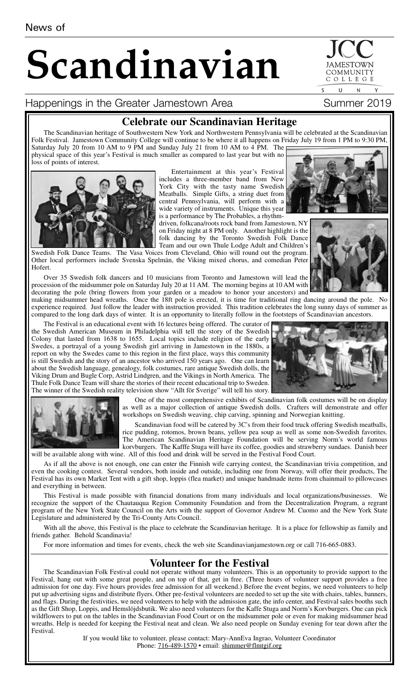# **Scandinavian**

Happenings in the Greater Jamestown Area Summer 2019



The Scandinavian heritage of Southwestern New York and Northwestern Pennsylvania will be celebrated at the Scandinavian Folk Festival. Jamestown Community College will continue to be where it all happens on Friday July 19 from 1 PM to 9:30 PM, Saturday July 20 from 10 AM to 9 PM and Sunday July 21 from 10 AM to 4 PM. The physical space of this year's Festival is much smaller as compared to last year but with no loss of points of interest.

> Entertainment at this year's Festival includes a three-member band from New York City with the tasty name Swedish Meatballs. Simple Gifts, a string duet from central Pennsylvania, will perform with a wide variety of instruments. Unique this year is a performance by The Probables, a rhythm-

driven, folkcana/roots rock band from Jamestown, NY on Friday night at 8 PM only. Another highlight is the folk dancing by the Toronto Swedish Folk Dance Team and our own Thule Lodge Adult and Children's

Swedish Folk Dance Teams. The Vasa Voices from Cleveland, Ohio will round out the program. Other local performers include Svenska Spelmän, the Viking mixed chorus, and comedian Peter Hofert.

Over 35 Swedish folk dancers and 10 musicians from Toronto and Jamestown will lead the procession of the midsummer pole on Saturday July 20 at 11 AM. The morning begins at 10 AM with decorating the pole (bring flowers from your garden or a meadow to honor your ancestors) and

making midsummer head wreaths. Once the 18ft pole is erected, it is time for traditional ring dancing around the pole. No experience required. Just follow the leader with instruction provided. This tradition celebrates the long sunny days of summer as compared to the long dark days of winter. It is an opportunity to literally follow in the footsteps of Scandinavian ancestors.

The Festival is an educational event with 16 lectures being offered. The curator of the Swedish American Museum in Philadelphia will tell the story of the Swedish Colony that lasted from 1638 to 1655. Local topics include religion of the early Swedes, a portrayal of a young Swedish girl arriving in Jamestown in the 1880s, a report on why the Swedes came to this region in the first place, ways this community is still Swedish and the story of an ancestor who arrived 150 years ago. One can learn about the Swedish language, genealogy, folk costumes, rare antique Swedish dolls, the Viking Drum and Bugle Corp, Astrid Lindgren, and the Vikings in North America. The Thule Folk Dance Team will share the stories of their recent educational trip to Sweden. The winner of the Swedish reality television show "Allt för Sverige" will tell his story.

> One of the most comprehensive exhibits of Scandinavian folk costumes will be on display as well as a major collection of antique Swedish dolls. Crafters will demonstrate and offer workshops on Swedish weaving, chip carving, spinning and Norwegian knitting.

Scandinavian food will be catered by 3C's from their food truck offering Swedish meatballs, rice pudding, rotomos, brown beans, yellow pea soup as well as some non-Swedish favorites. The American Scandinavian Heritage Foundation will be serving Norm's world famous korvburgers. The Kafffe Stuga will have its coffee, goodies and strawberry sundaes. Danish beer will be available along with wine. All of this food and drink will be served in the Festival Food Court.

As if all the above is not enough, one can enter the Finnish wife carrying contest, the Scandinavian trivia competition, and

even the cooking contest. Several vendors, both inside and outside, including one from Norway, will offer their products, The Festival has its own Market Tent with a gift shop, loppis (flea market) and unique handmade items from chainmail to pillowcases and everything in between.

This Festival is made possible with financial donations from many individuals and local organizations/businesses. We recognize the support of the Chautauqua Region Community Foundation and from the Decentralization Program, a regrant program of the New York State Council on the Arts with the support of Governor Andrew M. Cuomo and the New York State Legislature and administered by the Tri-County Arts Council.

With all the above, this Festival is the place to celebrate the Scandinavian heritage. It is a place for fellowship as family and friends gather. Behold Scandinavia!

For more information and times for events, check the web site Scandinavianjamestown.org or call 716-665-0883.

# **Volunteer for the Festival**

The Scandinavian Folk Festival could not operate without many volunteers. This is an opportunity to provide support to the Festival, hang out with some great people, and on top of that, get in free. (Three hours of volunteer support provides a free admission for one day. Five hours provides free admission for all weekend.) Before the event begins, we need volunteers to help put up advertising signs and distribute flyers. Other pre-festival volunteers are needed to set up the site with chairs, tables, banners, and flags. During the festivities, we need volunteers to help with the admission gate, the info center, and Festival sales booths such as the Gift Shop, Loppis, and Hemslöjdsbutik. We also need volunteers for the Kaffe Stuga and Norm's Korvburgers. One can pick wildflowers to put on the tables in the Scandinavian Food Court or on the midsummer pole or even for making midsummer head wreaths. Help is needed for keeping the Festival neat and clean. We also need people on Sunday evening for tear down after the Festival.

> If you would like to volunteer, please contact: Mary-AnnEva Ingrao, Volunteer Coordinator Phone: 716-489-1570 • email: shimmer@flmtgif.org





COMMUNITY COLLEGE  $\cup$  $N$